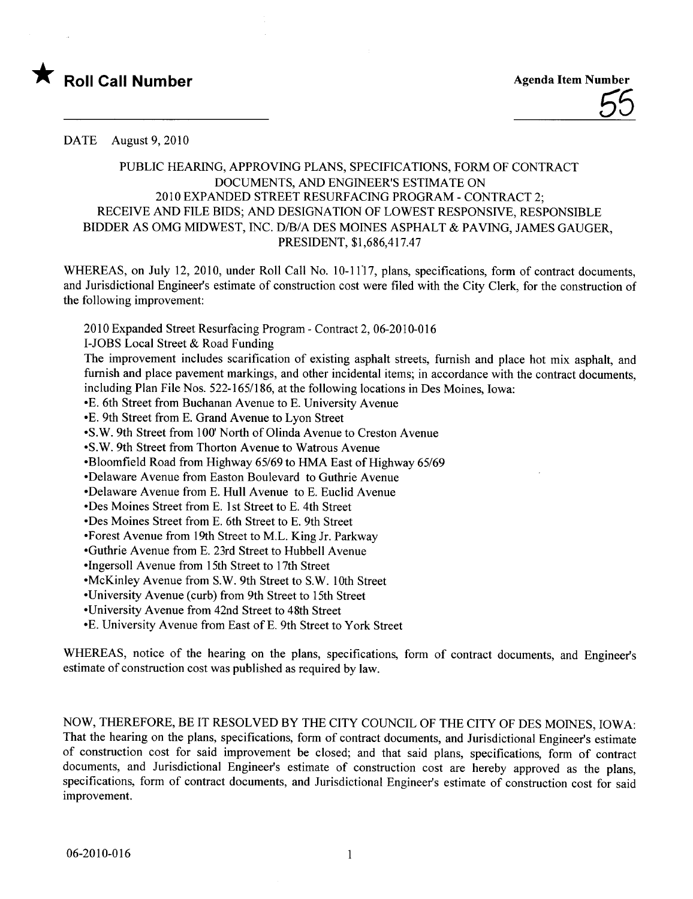

## PUBLIC HEARING, APPROVING PLANS, SPECIFICATIONS, FORM OF CONTRACT DOCUMENTS, AND ENGINEER'S ESTIMATE ON 2010 EXPANDED STREET RESURFACING PROGRAM - CONTRACT 2; RECEIVE AND FILE BIDS; AND DESIGNATION OF LOWEST RESPONSIVE, RESPONSIBLE BIDDER AS OMG MIDWEST, INC. D/B/A DES MOINES ASPHALT & PAVING, JAMES GAUGER, PRESIDENT, \$1,686,417.47

WHREAS, on July 12, 2010, under Roll Call No. 10-1117, plans, specifications, form of contract documents, and Jurisdictional Engineer's estimate of construction cost were fied with the City Clerk, for the construction of the following improvement:

2010 Expanded Street Resurfacing Program - Contract 2,06-2010-016

I-JOBS Local Street & Road Funding

The improvement includes scarification of existing asphalt streets, furnish and place hot mix asphalt, and furnish and place pavement markings, and other incidental items; in accordance with the contract documents, including Plan File Nos. 522-165/186, at the following locations in Des Moines, Iowa:

-E. 6th Street from Buchanan Avenue to E. University Avenue

-E. 9th Street from E. Grand Avenue to Lyon Street

-S.W.9th Street from 100' North of Olinda Avenue to Creston Avenue

-S.W. 9th Street from Thorton Avenue to Watrous Avenue

-Bloomfield Road from Highway 65/69 to HMA East of Highway 65/69

- Delaware Avenue from Easton Boulevard to Guthrie Avenue

-Delaware Avenue from E. Hull Avenue to E. Euclid Avenue

- Des Moines Street from E. 1 st Street to E. 4th Street

- Des Moines Street from E. 6th Street to E. 9th Street

-Forest Avenue from 19th Street to M.L. King Jr. Parkway

-Guthrie Avenue from E. 23rd Street to Hubbell Avenue

-Ingersoll Avenue from 15th Street to 17th Street

-McKinley Avenue from S.W. 9th Street to S.W. 10th Street

-University Avenue (curb) from 9th Street to 15th Street

-University Avenue from 42nd Street to 48th Street

- E. University Avenue from East of E. 9th Street to York Street

WHEREAS, notice of the hearing on the plans, specifications, form of contract documents, and Engineer's estimate of construction cost was published as required by law.

NOW, THEREFORE, BE IT RESOLVED BY THE CITY COUNCIL OF THE CITY OF DES MOINES, IOWA: That the hearing on the plans, specifications, form of contract documents, and Jurisdictional Engineer's estimate of construction cost for said improvement be closed; and that said plans, specifications, form of contract documents, and Jurisdictional Engineer's estimate of construction cost are hereby approved as the plans, specifications, form of contract documents, and Jurisdictional Engineer's estimate of construction cost for said improvement.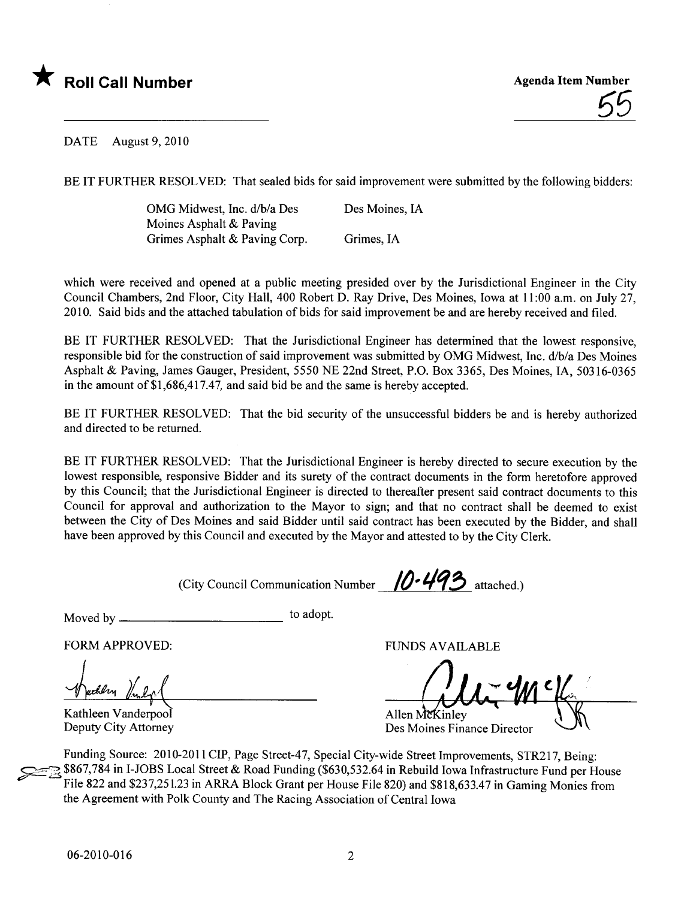

BE IT FURTHER RESOLVED: That sealed bids for said improvement were submitted by the following bidders:

OMG Midwest, Inc. d/b/a Des Moines Asphalt & Paving Grimes Asphalt & Paving Corp. Des Moines, IA Grimes, IA

which were received and opened at a public meeting presided over by the Jurisdictional Engineer in the City Council Chambers, 2nd Floor, City Hall, 400 Robert D. Ray Drive, Des Moines, Iowa at 11 :00 a.m. on July 27, 2010. Said bids and the attached tabulation of bids for said improvement be and are hereby received and fied.

BE IT FURTHER RESOLVED: That the Jurisdictional Engineer has determined that the lowest responsive, responsible bid for the construction of said improvement was submitted by OMG Midwest, Inc. d/b/a Des Moines Asphalt & Paving, James Gauger, President, 5550 NE 22nd Street, P.O. Box 3365, Des Moines, lA, 50316-0365 in the amount of \$1,686,417.47, and said bid be and the same is hereby accepted.

BE IT FURTHER RESOLVED: That the bid security of the unsuccessful bidders be and is hereby authorized and directed to be returned.

BE IT FURTHER RESOLVED: That the Jurisdictional Engineer is hereby directed to secure execution by the lowest responsible, responsive Bidder and its surety of the contract documents in the form heretofore approved by this Council; that the Jurisdictional Engineer is directed to thereafter present said contract documents to this Council for approval and authorization to the Mayor to sign; and that no contract shall be deemed to exist between the City of Des Moines and said Bidder until said contract has been executed by the Bidder, and shall have been approved by this Council and executed by the Mayor and attested to by the City Clerk.

(City Council Communication Number  $\sqrt{0.493}$  attached.)

Moved by to adopt.

Wachlen Vinlop

Kathleen Vanderpool Deputy City Attorney

FORM APPROVED: THE RESERVED BY A PERSON ASSESSED.

Allen McKinley

Des Moines Finance Director

Funding Source: 2010-2011 CIP, Page Street-47, Special City-wide Street Improvements, STR217, Being: \$867,784 in I-JOBS Local Street & Road Funding (\$630,532.64 in Rebuild Iowa Infrastructure Fund per House File 822 and \$237,251.23 in ARRA Block Grant per House File 820) and \$818,633.47 in Gaming Monies from the Agreement with Polk County and The Racing Association of Central Iowa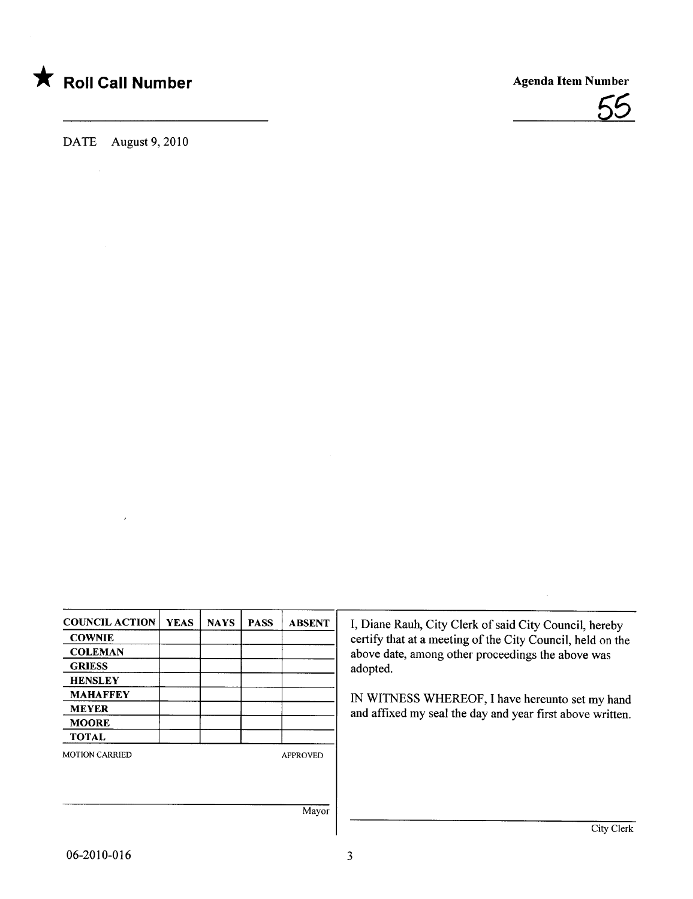



| <b>COUNCIL ACTION</b> | <b>YEAS</b> | <b>NAYS</b> | <b>PASS</b> | <b>ABSENT</b>   |
|-----------------------|-------------|-------------|-------------|-----------------|
| <b>COWNIE</b>         |             |             |             |                 |
| <b>COLEMAN</b>        |             |             |             |                 |
| <b>GRIESS</b>         |             |             |             |                 |
| <b>HENSLEY</b>        |             |             |             |                 |
| <b>MAHAFFEY</b>       |             |             |             |                 |
| <b>MEYER</b>          |             |             |             |                 |
| <b>MOORE</b>          |             |             |             |                 |
| <b>TOTAL</b>          |             |             |             |                 |
| <b>MOTION CARRIED</b> |             |             |             | <b>APPROVED</b> |
|                       |             |             |             |                 |
|                       |             |             |             |                 |
|                       |             |             |             | Mayor           |
|                       |             |             |             |                 |

I, Diane Rauh, City Clerk of said City Council, hereby certify that at a meeting of the City Council, held on the above date, among other proceedings the above was adopted.

IN WITNESS WHEREOF, I have hereunto set my hand and affixed my seal the day and year first above written.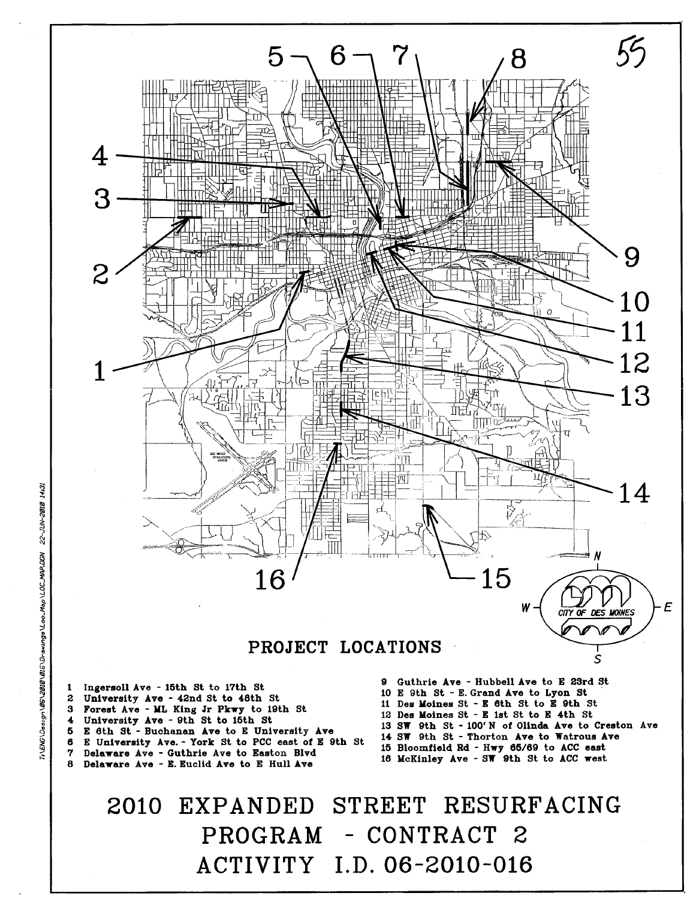

Delaware Ave - Guthrie Ave to Easton Blvd 7 8 Delaware Ave - E. Euclid Ave to E Hull Ave

15 Bloomfield Rd - Hwy 65/69 to ACC east 16 McKinley Ave - SW 9th St to ACC west

STREET RESURFACING 2010 EXPANDED PROGRAM - CONTRACT 2 ACTIVITY I.D. 06-2010-016

 $\ddagger$ 

 $\bf{5}$ 

6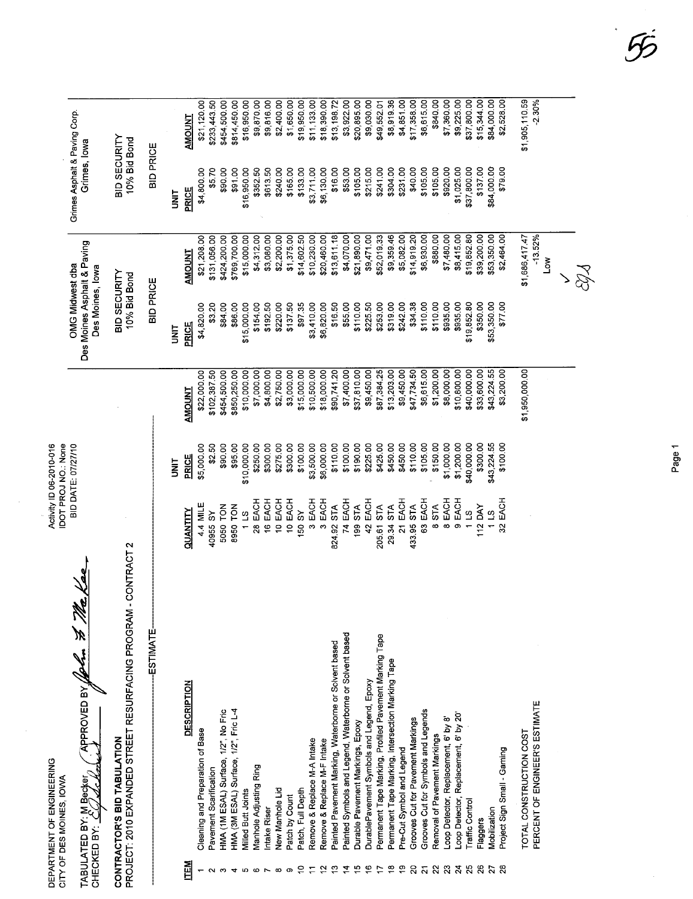DEPARTMENT OF ENGINEERING<br>CITY OF DES MOINES, IOWA DEPARTMENT OF ENGINEERING CITY OF DES MOINES, IOWA

Activity ID 06-2010-016<br>IDOT PROJ NO: None<br>BID DATE: 07/27/10 Activity ID 06-2010-016 IDOT PROJ NO.: None BID DATE: 071710

OMG Midwest dba I Grimes Asphalt & Paving Corp.

Grimes Asphalt & Paving Corp.<br>Grimes, Iowa

Des Moines Asphalt & Paving Grimes, Iowa

OMG Midwest dba<br>Des Moines Asphalt & Paving<br>Des Moines, Iowa

Des Moines, Iowa

BID SECURITY BID SECURITY 10% Bid Bond 10% Bid Bond

BID SECURITY<br>10% Bid Bond

BID SECURITY<br>10% Bid Bond

TABULATED BY: M Becker (APPROVED BY 100 to 31 100 to 21 000 APPROVED BY John & Make TABULATED BY: M Becker

CONTRACTOR'S BID TABULATION

CONTRACTOR'S BID TABULATION<br>PROJECT: 2010 EXPANDED STREET RESURFACING PROGRAM - CONTRACT 2 PROJECT: 2010 EXPANDED STREET RESURFACING PROGRAM - CONTRACT 2

|                       | <b>ESTIMATE</b>                                           |                         |             |                | <b>BID PRICE</b> |                             | <b>BID PRICE</b> |                            |
|-----------------------|-----------------------------------------------------------|-------------------------|-------------|----------------|------------------|-----------------------------|------------------|----------------------------|
|                       |                                                           |                         |             |                |                  |                             |                  |                            |
|                       |                                                           |                         | i<br>Mi     |                | i<br>Ni          |                             | i<br>3           |                            |
| ITEM                  | <b>DESCRIPTION</b>                                        | QUANTITY                | PRICE       | <b>AMOUNT</b>  | <b>PRICE</b>     | <b>AMOUNT</b>               | PRICE            | <b>AMOUNT</b>              |
|                       | Cleaning and Preparation of Base                          | 4.4 MILE                | \$5,000.00  | \$22,000.00    | \$4,820.00       | \$21,208.00                 | \$4,800.00       | \$21,120.00                |
|                       | Pavement Scarification                                    | 40955 SY                | \$2.50      | \$102,387.50   | \$3.20           | \$131,056.00                | \$5.70           | \$233,443.50               |
|                       | HMA (1M ESAL) Surface, 1/2", No Fric                      | 5050 TON                | \$90.00     | \$454,500.00   | \$84.00          | \$424,200.00                | \$90.00          | \$454,500.00               |
|                       | HMA (3M ESAL) Surface, 1/2", Fric L-4                     | 8950 TON                | \$95.00     | \$850,250.00   | \$86.00          | \$769,700.00                | \$91.00          | \$814,450.00               |
|                       | <b>Milled Butt Joints</b>                                 | 113                     | \$10,000.00 | \$10,000.00    | \$15,000.00      | \$15,000.00                 | \$16,950.00      | \$16,950.00                |
|                       | <b>Manhole Adjusting Ring</b>                             | 28 EACH                 | \$250.00    | \$7,000.00     | \$154.00         | \$4,312.00                  | \$352.50         | \$9,870.00                 |
|                       | Intake Riser                                              | 16 EACH                 | \$300.00    | \$4,800.00     | \$192.50         | \$3,080.00                  | \$613,50         | \$9,816.00                 |
|                       | New Manhole Lid                                           | 10 EACH                 | \$275.00    | \$2,750.00     | \$220.00         | \$2,200.00                  | \$240.00         | \$2,400.00                 |
|                       | Patch by Count                                            | 10 EACH                 | \$300.00    | \$3,000.00     | \$137.50         | \$1,375.00                  | \$165.00         | \$1,650.00                 |
|                       | Patch, Full Depth                                         | 150 SY                  | \$100.00    | \$15,000.00    | \$97.35          | \$14,602.50                 | \$133.00         | \$19,950.00                |
|                       | Remove & Replace M-A Intake                               | EACH<br>$\infty$        | \$3,500.00  | \$10,500.00    | \$3,410.00       | \$10,230.00                 | \$3,711.00       | \$11,133.00                |
|                       | Remove & Replace M-F Intake                               | EACH<br>$\infty$        | \$6,000.00  | \$18,000.00    | \$6,820.00       | \$20,460.00                 | \$6,130.00       | \$18,390.00                |
| ౖ                     | Painted Pavement Marking, Waterborne or Scivent based     | STA<br>824.92           | \$110.00    | \$90,741.20    | \$16.50          | \$13,611.18                 | \$16.00          | \$13,198.72                |
| ៎                     | Painted Symbols and Legend, Waterborne or Solvent based   | EACH<br>74              | \$100.00    | \$7,400.00     | \$55.00          | \$4,070.00                  | \$53.00          | \$3,922.00                 |
| 15                    | Durable Pavement Markings, Epoxy                          | STA <sub></sub><br>199. | \$190.00    | \$37,810.00    | \$110.00         | \$21,890.00                 | \$105.00         | \$20,895.00                |
| ڥ                     | DurablePavement Symbols and Legend, Epoxy                 | EACH<br>42              | \$225.00    | \$9,450.00     | \$225.50         | \$9,471.00                  | \$215.00         | \$9,030.00                 |
|                       | Permanent Tape Marking, Profiled Pavement Marking Tape    | 205.61 STA              | \$425.00    | \$87,384.25    | \$253.00         | \$52,019.33                 | \$241.00         | \$49,552.01                |
| ₽                     | Permanent Tape Marking, Intersection Marking Tape         | STA<br>29.34            | \$450.00    | \$13,203.00    | \$319.00         | \$9,359.46                  | \$304.00         | \$8,919.36                 |
| စ္                    | Pre-Cut Symbol and Legend                                 | 21 EACH                 | \$450.00    | \$9,450.00     | \$242.00         | \$5,082.00                  | \$231.00         | \$4,851.00                 |
| $\overline{c}$        | Grooves Cut for Pavement Markings                         | 433.95 STA              | \$110.00    | \$47,734.50    | \$34.38          | \$14,919.20                 | \$40.00          | \$17,358.00                |
| $\tilde{\bm{\alpha}}$ | Grooves Cut for Symbols and Legends                       | 63 EACH                 | \$105.00    | \$6,615.00     | \$110.00         | \$6,930.00                  | \$105.00         | \$6,615.00                 |
| 22                    | Removal of Pavement Markings                              | <b>STA</b><br>$\infty$  | \$150.00    | \$1,200.00     | \$110.00         | \$880,00                    | \$105.00         | \$840.00                   |
| $\boldsymbol{z}$      | -oop Detector, Replacement, 6' by 8'                      | EACH<br>$\infty$        | \$1,000.00  | \$8,000.00     | \$935.00         | \$7,480.00                  | \$920.00         | \$7,360.00                 |
| $\boldsymbol{z}$      | .cop Detector, Replacement, 6' by 20"                     | EACH<br>o               | \$1,200.00  | \$10,800.00    | \$935.00         | \$8,415.00                  | \$1,025.00       | \$9,225.00                 |
|                       | raffic Control                                            | 11S                     | \$40,000.00 | \$40,000.00    | \$19,852.80      | \$19,852.80                 | \$37,800.00      | \$37,800.00                |
| 8                     | Flaggers                                                  | 112 DAY                 | \$300.00    | \$33,600.00    | \$350.00         | \$39,200.00                 | \$137.00         | \$15,344.00                |
| $\overline{z}$        | Mobilization                                              | 113                     | \$43,224.55 | \$43,224.55    | \$53,350.00      | \$53,350.00                 | \$84,000.00      | \$84,000.00                |
|                       | Project Sign Small - Gaming                               | 32 EACH                 | \$100.00    | \$3,200.00     | \$77.00          | \$2,464.00                  | \$79.00          | \$2,528.00                 |
|                       | PERCENT OF ENGINEER'S ESTIMATE<br>TOTAL CONSTRUCTION COST |                         |             | \$1,950,000.00 |                  | $-13.52%$<br>\$1,686,417.47 |                  | \$1,905,110.59<br>$-2.30%$ |
|                       |                                                           |                         |             |                |                  | ŠΜ                          |                  |                            |
|                       |                                                           |                         |             |                |                  |                             |                  |                            |
|                       |                                                           |                         |             |                |                  |                             |                  |                            |
|                       |                                                           |                         |             |                |                  |                             |                  |                            |
|                       |                                                           |                         |             |                |                  |                             |                  |                            |